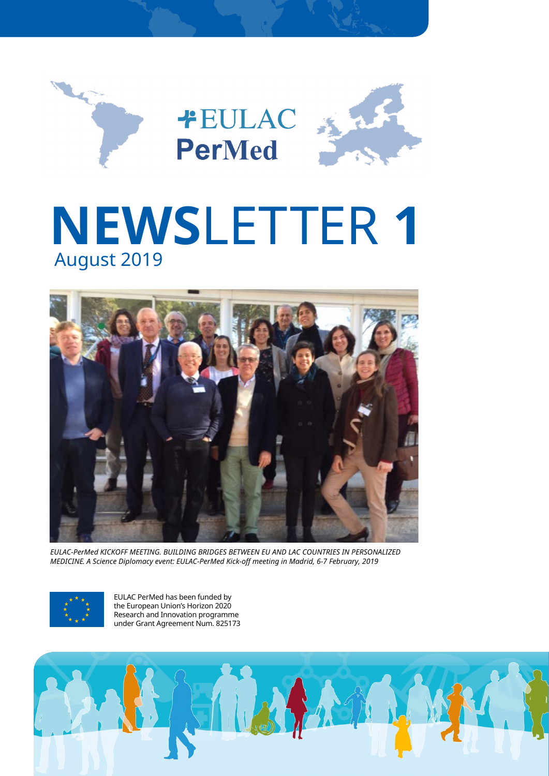

# **1 NEWS**LETTER 2019 August



**EULAC-PerMed KICKOFF MEETING. BUILDING BRIDGES BETWEEN EU AND LAC COUNTRIES IN PERSONALIZED** *MEDICINE. A Science Diplomacy event: EULAC-PerMed Kick-off meeting in Madrid, 6-7 February, 2019* 



EULAC PerMed has been funded by the European Union's Horizon 2020 Research and Innovation programme under Grant Agreement Num. 825173

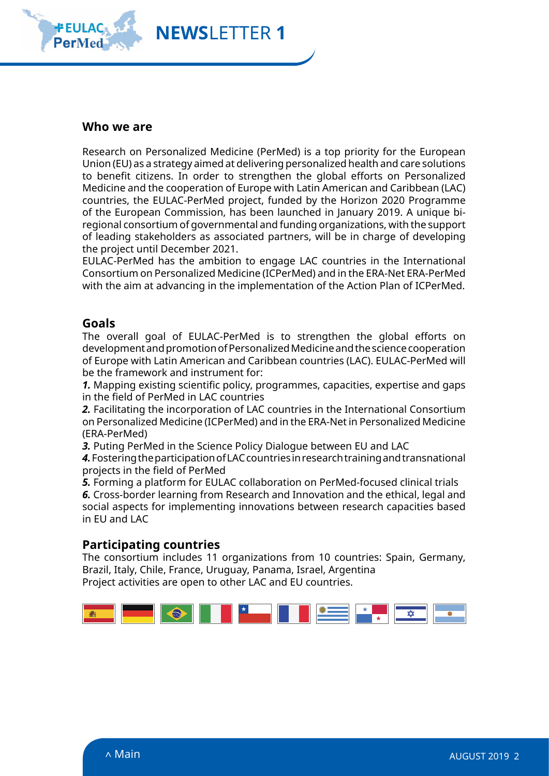<span id="page-1-0"></span>

## **Who** we are

Research on Personalized Medicine (PerMed) is a top priority for the European Union (EU) as a strategy aimed at delivering personalized health and care solutions to benefit citizens. In order to strengthen the global efforts on Personalized Medicine and the cooperation of Europe with Latin American and Caribbean (LAC) countries, the EULAC-PerMed project, funded by the Horizon 2020 Programme regional consortium of governmental and funding organizations, with the support of the European Commission, has been launched in January 2019. A unique biof leading stakeholders as associated partners, will be in charge of developing the project until December 2021.

EULAC-PerMed has the ambition to engage LAC countries in the International Consortium on Personalized Medicine (ICPerMed) and in the ERA-Net ERA-PerMed with the aim at advancing in the implementation of the Action Plan of ICPerMed.

### **Goals**

The overall goal of EULAC-PerMed is to strengthen the global efforts on development and promotion of Personalized Medicine and the science cooperation of Europe with Latin American and Caribbean countries (LAC). EULAC-PerMed will be the framework and instrument for:

1. Mapping existing scientific policy, programmes, capacities, expertise and gaps in the field of PerMed in LAC countries

2. Facilitating the incorporation of LAC countries in the International Consortium on Personalized Medicine (ICPerMed) and in the ERA-Net in Personalized Medicine (ERA-PerMed)

3. Puting PerMed in the Science Policy Dialogue between EU and LAC

4. Fostering the participation of LAC countries in research training and transnational projects in the field of PerMed

**5.** Forming a platform for EULAC collaboration on PerMed-focused clinical trials

6. Cross-border learning from Research and Innovation and the ethical, legal and social aspects for implementing innovations between research capacities based in EU and LAC

## **Participating countries**

The consortium includes 11 organizations from 10 countries: Spain, Germany, Brazil, Italy, Chile, France, Uruguay, Panama, Israel, Argentina Project activities are open to other LAC and EU countries.

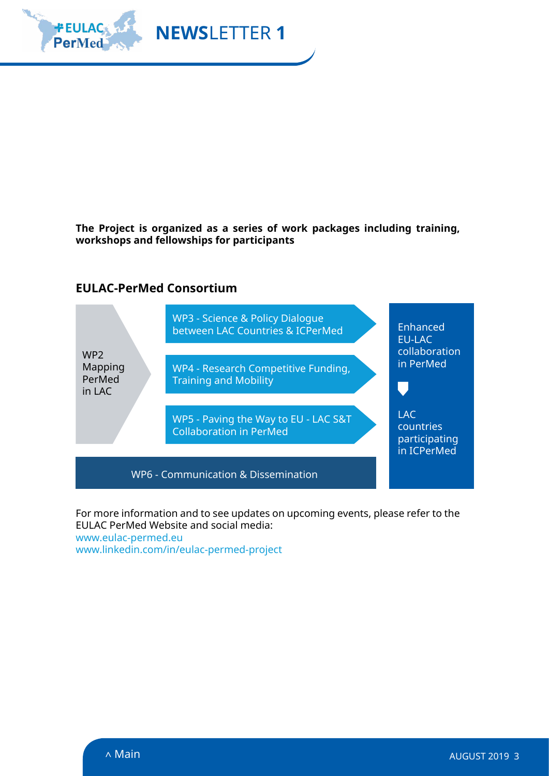

The Project is organized as a series of work packages including training, workshops and fellowships for participants

## **EULAC-PerMed Consortium**



For more information and to see updates on upcoming events, please refer to the EULAC PerMed Website and social media: www.eulac-permed.eu

www.linkedin.com/in/eulac-permed-project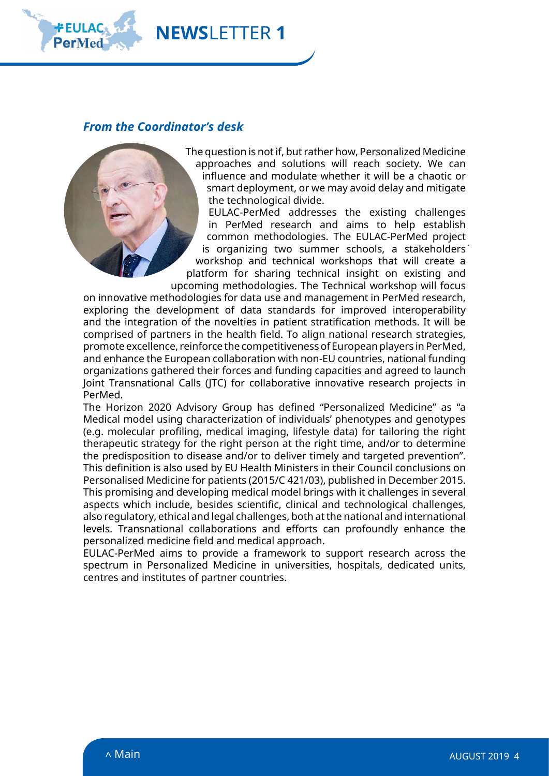

## *From the Coordinator's desk*

**1 NEWSLETTER** 



The question is not if, but rather how, Personalized Medicine approaches and solutions will reach society. We can influence and modulate whether it will be a chaotic or smart deployment, or we may avoid delay and mitigate the technological divide.

EULAC-PerMed addresses the existing challenges in PerMed research and aims to help establish common methodologies. The EULAC-PerMed project is organizing two summer schools, a stakeholders' workshop and technical workshops that will create a platform for sharing technical insight on existing and upcoming methodologies. The Technical workshop will focus

on innovative methodologies for data use and management in PerMed research, exploring the development of data standards for improved interoperability and the integration of the novelties in patient stratification methods. It will be comprised of partners in the health field. To align national research strategies, promote excellence, reinforce the competitiveness of European players in PerMed, and enhance the European collaboration with non-EU countries, national funding organizations gathered their forces and funding capacities and agreed to launch loint Transnational Calls (ITC) for collaborative innovative research projects in .PerMed

The Horizon 2020 Advisory Group has defined "Personalized Medicine" as "a Medical model using characterization of individuals' phenotypes and genotypes (e.g. molecular profiling, medical imaging, lifestyle data) for tailoring the right therapeutic strategy for the right person at the right time, and/or to determine the predisposition to disease and/or to deliver timely and targeted prevention". This definition is also used by EU Health Ministers in their Council conclusions on Personalised Medicine for patients (2015/C 421/03), published in December 2015. This promising and developing medical model brings with it challenges in several aspects which include, besides scientific, clinical and technological challenges, also regulatory, ethical and legal challenges, both at the national and international levels. Transnational collaborations and efforts can profoundly enhance the personalized medicine field and medical approach.

EULAC-PerMed aims to provide a framework to support research across the spectrum in Personalized Medicine in universities, hospitals, dedicated units, centres and institutes of partner countries.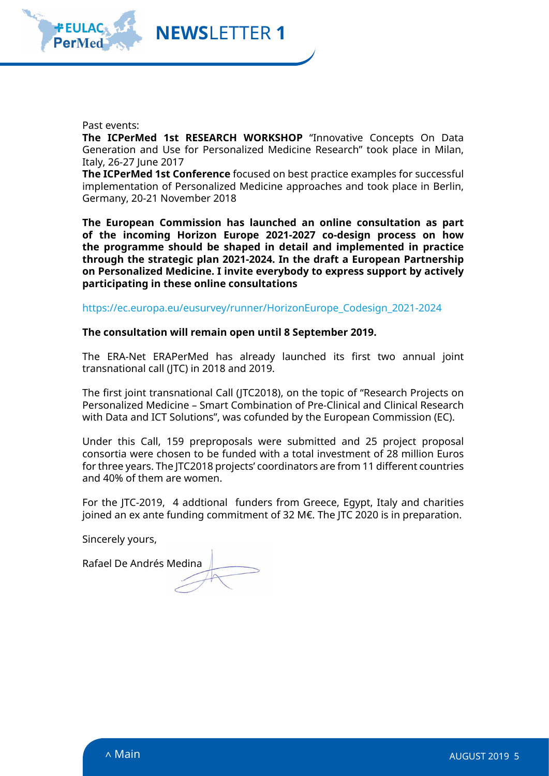

Past events:

**The ICPerMed 1st RESEARCH WORKSHOP** "Innovative Concepts On Data Generation and Use for Personalized Medicine Research" took place in Milan, Italy, 26-27 June 2017

The ICPerMed 1st Conference focused on best practice examples for successful implementation of Personalized Medicine approaches and took place in Berlin, Germany, 20-21 November 2018

The European Commission has launched an online consultation as part of the incoming Horizon Europe 2021-2027 co-design process on how the programme should be shaped in detail and implemented in practice through the strategic plan 2021-2024. In the draft a European Partnership on Personalized Medicine. I invite everybody to express support by actively participating in these online consultations

https://ec.europa.eu/eusurvey/runner/HorizonEurope Codesign 2021-2024

The consultation will remain open until 8 September 2019.

**1 NEWS**LETTER

The ERA-Net ERAPerMed has already launched its first two annual joint transnational call (JTC) in 2018 and 2019.

The first joint transnational Call (JTC2018), on the topic of "Research Projects on Personalized Medicine – Smart Combination of Pre-Clinical and Clinical Research with Data and ICT Solutions", was cofunded by the European Commission (EC).

Under this Call, 159 preproposals were submitted and 25 project proposal consortia were chosen to be funded with a total investment of 28 million Euros for three years. The ITC2018 projects' coordinators are from 11 different countries and 40% of them are women.

For the JTC-2019, 4 addtional funders from Greece, Egypt, Italy and charities joined an ex ante funding commitment of 32 M $\epsilon$ . The JTC 2020 is in preparation.

Sincerely yours,

Rafael De Andrés Medina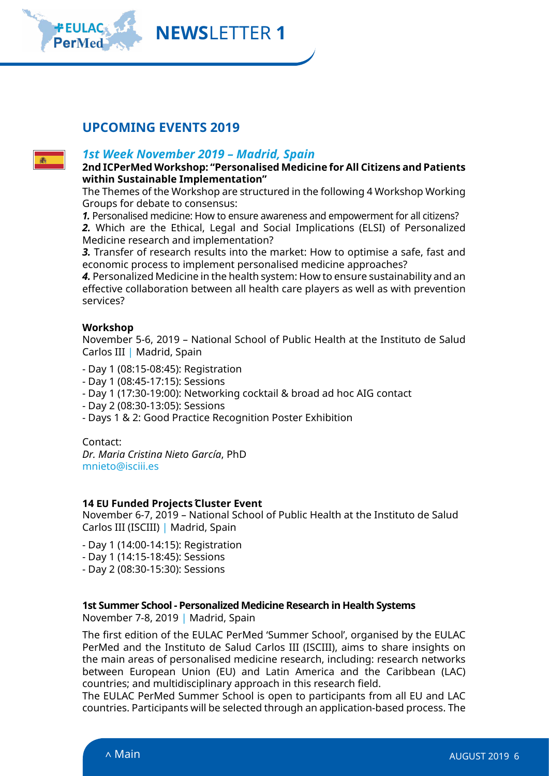**1 NEWS**LETTER

## **UPCOMING EVENTS 2019**



## **1st Week November 2019 - Madrid, Spain**

 **2nd ICPerMed Workshop: "Personalised Medicine for All Citizens and Patients** within Sustainable Implementation"

The Themes of the Workshop are structured in the following 4 Workshop Working Groups for debate to consensus:

1. Personalised medicine: How to ensure awareness and empowerment for all citizens?

2. Which are the Ethical, Legal and Social Implications (ELSI) of Personalized Medicine research and implementation?

3. Transfer of research results into the market: How to optimise a safe, fast and economic process to implement personalised medicine approaches?

4. Personalized Medicine in the health system: How to ensure sustainability and an effective collaboration between all health care players as well as with prevention services?

#### **Workshop**

November 5-6, 2019 – National School of Public Health at the Instituto de Salud Carlos III | Madrid, Spain

- Day 1 (08:15-08:45): Registration
- Day 1 (08:45-17:15): Sessions
- Day 1 (17:30-19:00): Networking cocktail & broad ad hoc AIG contact
- Day 2 (08:30-13:05): Sessions
- Days 1 & 2: Good Practice Recognition Poster Exhibition

:Contact

Dr. Maria Cristina Nieto García, PhD mnieto@isciii.es

#### **14 EU Funded Projects Cluster Event**

November 6-7, 2019 - National School of Public Health at the Instituto de Salud Carlos III (ISCIII) | Madrid, Spain

- Day 1 (14:00-14:15): Registration
- Day 1 (14:15-18:45): Sessions
- Day 2 (08:30-15:30): Sessions

#### **1st Summer School - Personalized Medicine Research in Health Systems**

November 7-8, 2019 | Madrid, Spain

The first edition of the EULAC PerMed 'Summer School', organised by the EULAC PerMed and the Instituto de Salud Carlos III (ISCIII), aims to share insights on the main areas of personalised medicine research, including: research networks between European Union (EU) and Latin America and the Caribbean (LAC) countries; and multidisciplinary approach in this research field.

The EULAC PerMed Summer School is open to participants from all EU and LAC countries. Participants will be selected through an application-based process. The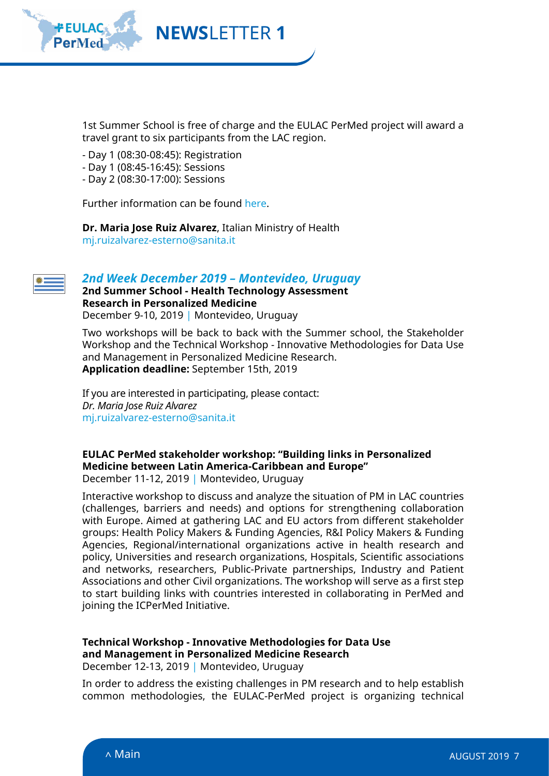

1st Summer School is free of charge and the EULAC PerMed project will award a travel grant to six participants from the LAC region.

- Day 1 (08:30-08:45): Registration
- Day 1 (08:45-16:45): Sessions
- Day 2 (08:30-17:00): Sessions

Further information can be found [here](http://www.eulac-permed.eu/index.php/2019/04/30/madrid-summer-school/).

Dr. Maria Jose Ruiz Alvarez, Italian Ministry of Health mi.ruizalvarez-esterno@sanita.it



#### **2nd Week December 2019 - Montevideo, Uruguay**

 **2nd Summer School - Health Technology Assessment Research in Personalized Medicine** December 9-10, 2019 | Montevideo, Uruguay

Two workshops will be back to back with the Summer school, the Stakeholder Workshop and the Technical Workshop - Innovative Methodologies for Data Use and Management in Personalized Medicine Research. Application deadline: September 15th, 2019

If you are interested in participating, please contact: **Dr. Maria lose Ruiz Alvarez** mj.ruizalvarez-esterno@sanita.it

#### **EULAC PerMed stakeholder workshop: "Building links in Personalized Medicine between Latin America-Caribbean and Europe"** December 11-12, 2019 | Montevideo, Uruguay

Interactive workshop to discuss and analyze the situation of PM in LAC countries (challenges, barriers and needs) and options for strengthening collaboration with Europe. Aimed at gathering LAC and EU actors from different stakeholder groups: Health Policy Makers & Funding Agencies, R&I Policy Makers & Funding Agencies, Regional/international organizations active in health research and policy, Universities and research organizations, Hospitals, Scientific associations and networks, researchers, Public-Private partnerships, Industry and Patient Associations and other Civil organizations. The workshop will serve as a first step to start building links with countries interested in collaborating in PerMed and joining the ICPerMed Initiative.

## **Technical Workshop - Innovative Methodologies for Data Use** and Management in Personalized Medicine Research

December 12-13, 2019 | Montevideo, Uruguay

In order to address the existing challenges in PM research and to help establish common methodologies, the EULAC-PerMed project is organizing technical